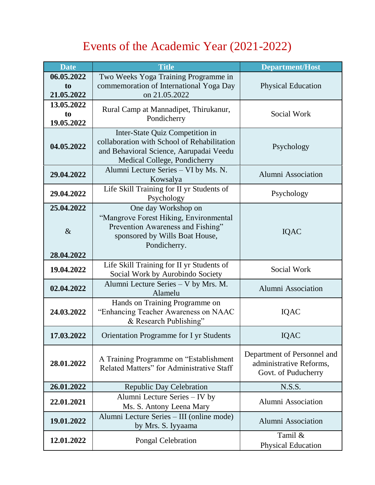## Events of the Academic Year (2021-2022)

| <b>Date</b>                      | <b>Title</b>                                                                                                                                              | <b>Department/Host</b>                                                        |
|----------------------------------|-----------------------------------------------------------------------------------------------------------------------------------------------------------|-------------------------------------------------------------------------------|
| 06.05.2022<br>to<br>21.05.2022   | Two Weeks Yoga Training Programme in<br>commemoration of International Yoga Day<br>on 21.05.2022                                                          | <b>Physical Education</b>                                                     |
| 13.05.2022<br>to<br>19.05.2022   | Rural Camp at Mannadipet, Thirukanur,<br>Pondicherry                                                                                                      | Social Work                                                                   |
| 04.05.2022                       | Inter-State Quiz Competition in<br>collaboration with School of Rehabilitation<br>and Behavioral Science, Aarupadai Veedu<br>Medical College, Pondicherry | Psychology                                                                    |
| 29.04.2022                       | Alumni Lecture Series - VI by Ms. N.<br>Kowsalya                                                                                                          | Alumni Association                                                            |
| 29.04.2022                       | Life Skill Training for II yr Students of<br>Psychology                                                                                                   | Psychology                                                                    |
| 25.04.2022<br>$\&$<br>28.04.2022 | One day Workshop on<br>"Mangrove Forest Hiking, Environmental<br>Prevention Awareness and Fishing"<br>sponsored by Wills Boat House,<br>Pondicherry.      | <b>IQAC</b>                                                                   |
| 19.04.2022                       | Life Skill Training for II yr Students of<br>Social Work by Aurobindo Society                                                                             | Social Work                                                                   |
| 02.04.2022                       | Alumni Lecture Series - V by Mrs. M.<br>Alamelu                                                                                                           | <b>Alumni Association</b>                                                     |
| 24.03.2022                       | Hands on Training Programme on<br>"Enhancing Teacher Awareness on NAAC<br>& Research Publishing"                                                          | <b>IQAC</b>                                                                   |
| 17.03.2022                       | Orientation Programme for I yr Students                                                                                                                   | <b>IQAC</b>                                                                   |
| 28.01.2022                       | A Training Programme on "Establishment"<br>Related Matters" for Administrative Staff                                                                      | Department of Personnel and<br>administrative Reforms.<br>Govt. of Puducherry |
| 26.01.2022                       | <b>Republic Day Celebration</b>                                                                                                                           | N.S.S.                                                                        |
| 22.01.2021                       | Alumni Lecture Series – IV by<br>Ms. S. Antony Leena Mary                                                                                                 | <b>Alumni Association</b>                                                     |
| 19.01.2022                       | Alumni Lecture Series - III (online mode)<br>by Mrs. S. Iyyaama                                                                                           | Alumni Association                                                            |
| 12.01.2022                       | Pongal Celebration                                                                                                                                        | Tamil &<br><b>Physical Education</b>                                          |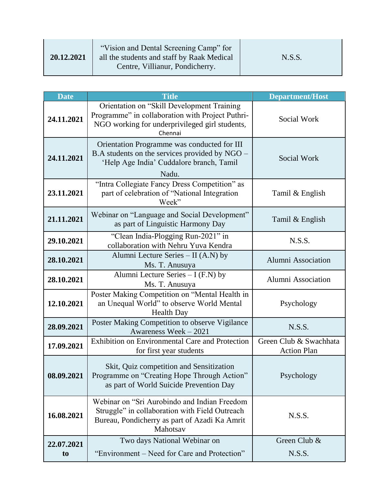| 20.12.2021 | "Vision and Dental Screening Camp" for<br>all the students and staff by Raak Medical<br>Centre, Villianur, Pondicherry. | N.S.S. |
|------------|-------------------------------------------------------------------------------------------------------------------------|--------|
|------------|-------------------------------------------------------------------------------------------------------------------------|--------|

| <b>Date</b>    | <b>Title</b>                                                                                                                                                | <b>Department/Host</b>                       |
|----------------|-------------------------------------------------------------------------------------------------------------------------------------------------------------|----------------------------------------------|
| 24.11.2021     | Orientation on "Skill Development Training<br>Programme" in collaboration with Project Puthri-<br>NGO working for underprivileged girl students,<br>Chennai | Social Work                                  |
| 24.11.2021     | Orientation Programme was conducted for III<br>B.A students on the services provided by NGO –<br>'Help Age India' Cuddalore branch, Tamil<br>Nadu.          | Social Work                                  |
| 23.11.2021     | "Intra Collegiate Fancy Dress Competition" as<br>part of celebration of "National Integration<br>Week"                                                      | Tamil & English                              |
| 21.11.2021     | Webinar on "Language and Social Development"<br>as part of Linguistic Harmony Day                                                                           | Tamil & English                              |
| 29.10.2021     | "Clean India-Plogging Run-2021" in<br>collaboration with Nehru Yuva Kendra                                                                                  | N.S.S.                                       |
| 28.10.2021     | Alumni Lecture Series $-$ II (A.N) by<br>Ms. T. Anusuya                                                                                                     | <b>Alumni Association</b>                    |
| 28.10.2021     | Alumni Lecture Series $- I(F.N)$ by<br>Ms. T. Anusuya                                                                                                       | Alumni Association                           |
| 12.10.2021     | Poster Making Competition on "Mental Health in<br>an Unequal World" to observe World Mental<br><b>Health Day</b>                                            | Psychology                                   |
| 28.09.2021     | Poster Making Competition to observe Vigilance<br>Awareness Week - 2021                                                                                     | N.S.S.                                       |
| 17.09.2021     | <b>Exhibition on Environmental Care and Protection</b><br>for first year students                                                                           | Green Club & Swachhata<br><b>Action Plan</b> |
| 08.09.2021     | Skit, Quiz competition and Sensitization<br>Programme on "Creating Hope Through Action"<br>as part of World Suicide Prevention Day                          | Psychology                                   |
| 16.08.2021     | Webinar on "Sri Aurobindo and Indian Freedom<br>Struggle" in collaboration with Field Outreach<br>Bureau, Pondicherry as part of Azadi Ka Amrit<br>Mahotsav | N.S.S.                                       |
| 22.07.2021     | Two days National Webinar on                                                                                                                                | Green Club &                                 |
| t <sub>o</sub> | "Environment – Need for Care and Protection"                                                                                                                | N.S.S.                                       |